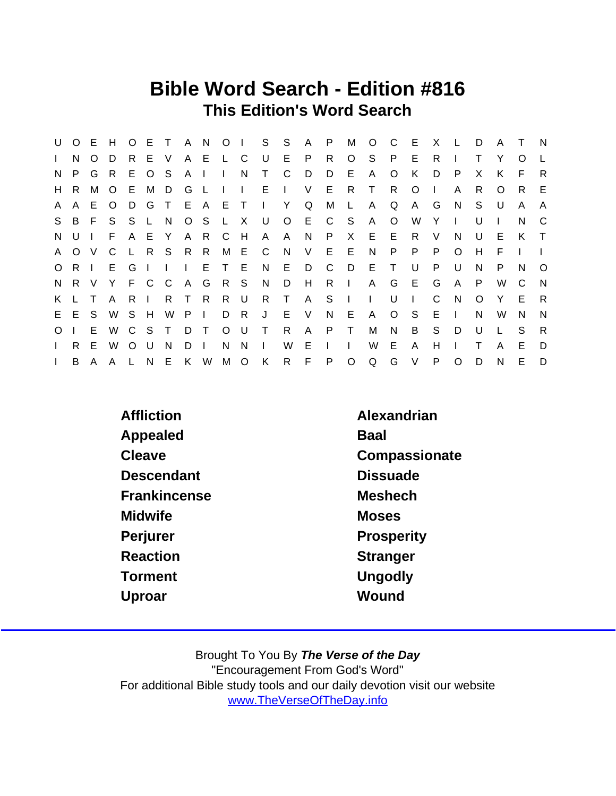## Bible Word Search - Edition #816 This Edition's Word Search

| U            | $O$ E    |              | H       | $\circ$      | E.           | $\top$       | A N          |        | O <sub>1</sub> |              | S            | S       | A      | P  | м            | $\circ$      | C       | E            | X            |          | D  | A | $\top$ | <b>N</b>     |
|--------------|----------|--------------|---------|--------------|--------------|--------------|--------------|--------|----------------|--------------|--------------|---------|--------|----|--------------|--------------|---------|--------------|--------------|----------|----|---|--------|--------------|
| $\mathbf{L}$ | N        | O            | D       | R            |              | E V          |              | A E    | −L.            | C            | U            | E.      | P.     | R  | $\circ$      | S.           | P.      | E            | R.           |          |    | Y | O      |              |
| N.           | P.       | G            | -R      | E.           | $\circ$      | S            | A            |        |                | N            | T.           | C       | D      | D  | Е            | A            | O       | K            | D            | P        | X  | K | E      | R            |
| H            | R.       | м            | O       | E            | M            | D            | G            | - L    |                | $\mathbf{L}$ | E.           |         | V      | E. | R.           | $\top$       | R.      | O            | $\mathbf{L}$ | A        | R. | O | R.     | E.           |
| A            | A        | Е            | $\circ$ | D            | G            | $\top$       |              | E A    | E T            |              | $\mathbf{L}$ | Y       | Q      | M  | L.           | $\mathsf{A}$ | Q       | A            | G            | N.       | S. | U | A      | A            |
| S.           |          | B F          | S.      | S.           | $\mathsf{L}$ | N.           |              | $O_S$  | −L.            | $\mathsf{X}$ | U            | $\circ$ | E.     | C  | -S           | A            | $\circ$ | W            | Y            | J.       | U  |   | N      | C            |
| N            | U        |              | F       | A            | E.           | <b>Y</b>     | A            | -R     | C.             | H            | A            | A       | N      | P  | X            | E.           | E       | R.           | V            | N        | U  | Е | K      | $\top$       |
| $\mathsf{A}$ | $\Omega$ | - V          | C       | $\mathsf{L}$ |              | R S R R      |              |        | M              | - E          | C.           | N.      | V      | E. | E            | N            | P       | P            | P            | $\Omega$ | H  | F |        |              |
| $\circ$      | R.       |              | E.      | G            | $\mathbf{I}$ | $\mathbf{I}$ | $\mathbf{L}$ | E.     | $\top$         | - E          | N.           | E.      | D      | C  | D            | E            | T       | U            | P            | U        | N  | P | N      | $\Omega$     |
| N            | R.       | - V          | Y       |              | F C C        |              | A G          |        | R S            |              | N.           | D       | H      | R  | $\mathbf{L}$ | A            | G       | E.           | G            | A        | P  | W | C      | $\mathsf{N}$ |
| K.           |          |              | A       | R.           | $\mathbf{L}$ | R T          |              | -R     | R.             | - U          | R.           | $\top$  | A      | S  |              | $\mathbf{L}$ | U       | $\mathbf{I}$ | C            | N        | O  | Y | Е      | R            |
| E.           | E        | <sub>S</sub> | W       | <sub>S</sub> | H            | W            | P            | $\Box$ | D              | $\mathsf{R}$ | J            | E       | $\vee$ | N  | E            | A            | $\circ$ | <sub>S</sub> | E.           | I.       | N  | W | N.     | N            |
| $\circ$      |          | Е            | W       | C            | S.           | $\top$       | D.           | $\top$ | O              | U            | $\top$       | R       | A      | P  | $\top$       | М            | N       | B            | S            | D        | U  |   | S      | R            |
| $\mathbf{L}$ | R.       | Е            | W       | $\Omega$     | U            | N            | D            |        | N              | N            | $\mathbf{L}$ | W       | Е      |    |              | W            | Е       | A            | н            |          |    | A | Е      | D            |
| $\mathbf{I}$ | B        | A            | A       |              | N            | E.           | K            | W      | М              | $\circ$      | K            | R.      | F      | P  | $\circ$      | Q            | G       | $\vee$       | P            | $\Omega$ | D  | N | E      | D            |

Affliction **Alexandrian** Appealed Baal Cleave Compassionate Descendant Dissuade Frankincense Meshech Midwife Moses Moses Perjurer **Prosperity** Reaction **Stranger** Torment Ungodly Uproar Wound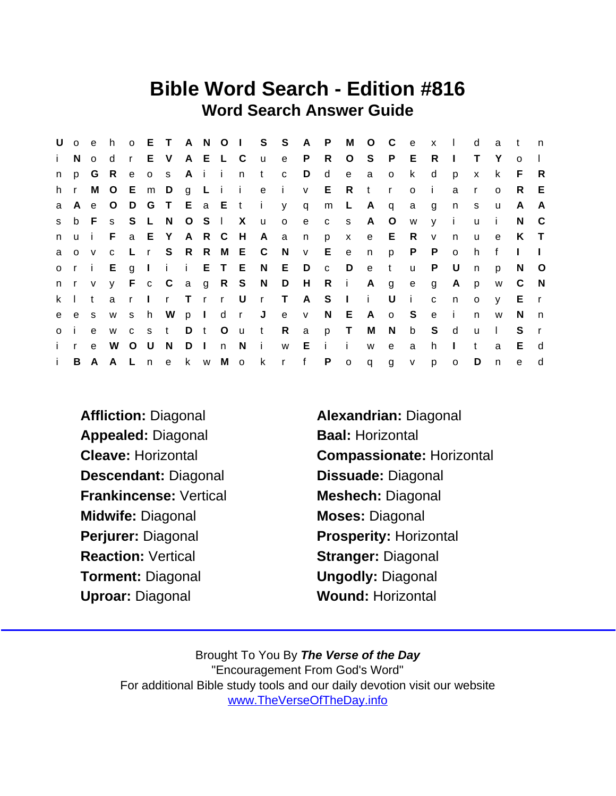## Bible Word Search - Edition #816 Word Search Answer Guide

|                       | U o e        |              | h.             |              |       |               |          |       |                |     | O E T A N O I S S A P |             |              |              | M              | $O$ $C$      |              | $^{\circ}$ e | $\mathsf{x}$ | $\Box$       | d            | a            | $-t$         | n            |
|-----------------------|--------------|--------------|----------------|--------------|-------|---------------|----------|-------|----------------|-----|-----------------------|-------------|--------------|--------------|----------------|--------------|--------------|--------------|--------------|--------------|--------------|--------------|--------------|--------------|
| $\mathbf{i}$          | N.           | $\circ$      | d              |              | r E V |               |          |       | A E L C        |     | u e                   |             | P.           | R            | $\circ$        | S            | P.           | E            | R            | $\mathbf{I}$ | T.           | Y            | $\Omega$     |              |
| n.                    | <b>p</b>     | G            | - R            | $\mathbf{e}$ |       | 0 S           |          | Aii   |                | n   | t                     | $\mathbf C$ | D            | d            | e              | a            | $\mathsf{o}$ | $\mathsf k$  | d            | p            | $\mathsf{x}$ | k            | F.           | $\mathsf{R}$ |
| h r                   |              | M            | $\overline{O}$ |              |       |               |          |       |                |     | Em D g L i i e i      |             | $\mathsf{V}$ |              | E R t          |              | $\mathsf{r}$ | $\mathsf{o}$ | i.           | a            | $\mathsf{r}$ | $\Omega$     | R.           | E            |
| a                     | $\mathsf{A}$ | e            | $\overline{O}$ | D            |       | G T E a E t   |          |       |                |     | $\sim 1$              | y           | $\mathsf{q}$ | m            | L.             | A            | $\mathsf{q}$ | a            | g            | n            | s            | u            | A            | A            |
| S.                    |              | b F s        |                | S            | L N   |               |          |       | O S I X        |     | $\mathsf{u}$          | $\circ$     | e            | $\mathbf{C}$ | S              | A            | $\circ$      | W            | V            | $\mathbf{i}$ | $\mathsf{u}$ | i.           | N.           | - C          |
| n.                    | $\mathsf{u}$ |              | F.             |              | a E Y |               |          | A R C |                | H   | A a                   |             | n            | p            | $\mathsf{X}$   | e            | E.           | R.           | $\mathsf{V}$ | $\mathsf{n}$ | <b>u</b>     | $\mathbf{e}$ | K            | $\top$       |
| a                     | $\circ$      | $\mathsf{V}$ | $\mathbf{C}$   |              |       |               |          |       |                |     | L r S R R M E C N     |             | V            | $E$ e        |                | n            | p            | P            | $\mathsf{P}$ | $\mathsf{o}$ | h            | $\mathbf{f}$ | $\mathbf{L}$ |              |
|                       | ori          |              | E.             |              |       | g I i i E T E |          |       |                |     |                       | N E         | D            | $\mathbf{C}$ | D              | $\mathbf{e}$ | $-t$         | $\mathsf{u}$ | P            | U            | $\mathsf{n}$ | p            | N            | $\circ$      |
| $n \rightharpoonup r$ |              | V            |                |              |       |               |          |       |                |     | y F c C a g R S N D   |             |              | H R i        |                | A g          |              | e            | $\mathbf{g}$ | A            | p            | W            | C.           | N            |
| $k \mid$              |              | t            | a              | r            |       | Ir Trr U      |          |       |                |     | r T                   |             | A            | $S \mid$     |                | $\mathbf{i}$ | U            | - i -        | $\mathbf{C}$ | $\mathsf{n}$ | $\circ$      | $\mathsf{V}$ | E.           | $\mathsf{r}$ |
| e                     | e s          |              | W              | S            |       | h W           |          | p I   |                | d r |                       | J e         | V            |              | N E            | $\mathsf{A}$ | o S          |              | e i          |              | n.           | W            | N.           | n            |
| o i                   |              | e            | W              |              | c s t |               |          | D t   | O <sub>u</sub> |     | t R                   |             | $\mathsf{a}$ |              | p T            | M            | N            | $\mathsf b$  | S.           | d            | $\mathsf{u}$ | $\mathbf{L}$ | S.           |              |
| i -                   | $\mathbf{r}$ | $\mathbf{e}$ | W              | $\circ$      | U     | N             | $D \mid$ |       | n N            |     | $\mathbf{i}$          | W           | Е            | - i -        | $\mathbf{I}$   | W            | $\mathbf{e}$ | a            | h.           | $\mathbf{I}$ | $\mathbf{t}$ | a            | E.           | d            |
| $\mathbf{i}$ .        |              | B A A        |                |              |       | L n e         |          |       |                |     | k w M o k r f         |             |              | P            | $\overline{O}$ | q g          |              | V            | $\mathsf{p}$ | $\mathsf{o}$ | D            | $\mathsf{n}$ | $\mathbf{e}$ | d            |

- Affliction: Diagonal **Alexandrian: Diagonal** Appealed: Diagonal Baal: Horizontal Descendant: Diagonal Dissuade: Diagonal Frankincense: Vertical Meshech: Diagonal Midwife: Diagonal Moses: Diagonal Perjurer: Diagonal Prosperity: Horizontal Reaction: Vertical **Stranger: Diagonal** Torment: Diagonal **Ungodly: Diagonal** Uproar: Diagonal Wound: Horizontal
- Cleave: Horizontal Compassionate: Horizontal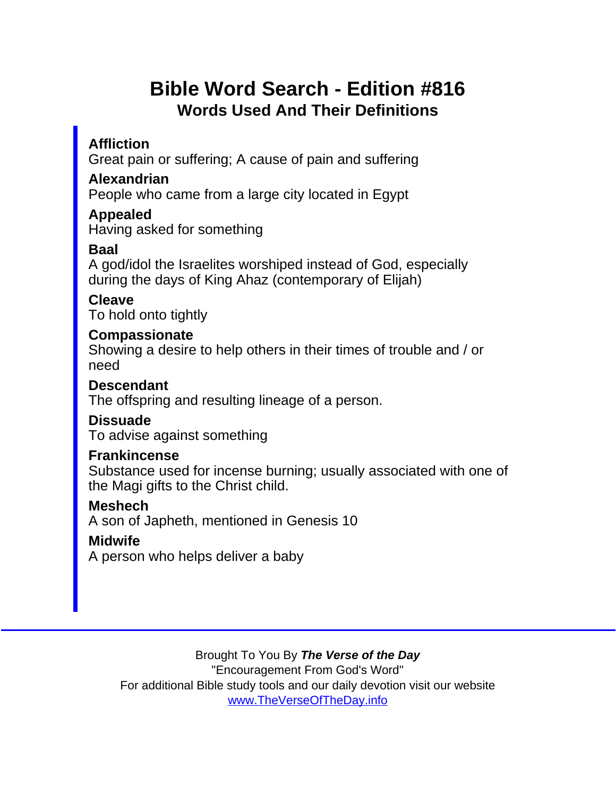## Bible Word Search - Edition #816 Words Used And Their Definitions

**Affliction** 

Great pain or suffering; A cause of pain and suffering

Alexandrian

People who came from a large city located in Egypt

Appealed

Having asked for something

Baal

A god/idol the Israelites worshiped instead of God, especially during the days of King Ahaz (contemporary of Elijah)

Cleave

To hold onto tightly

**Compassionate** 

Showing a desire to help others in their times of trouble and / or need

Descendant

The offspring and resulting lineage of a person.

**Dissuade** 

To advise against something

**Frankincense** 

Substance used for incense burning; usually associated with one of the Magi gifts to the Christ child.

Meshech

A son of Japheth, mentioned in Genesis 10

Midwife

A person who helps deliver a baby